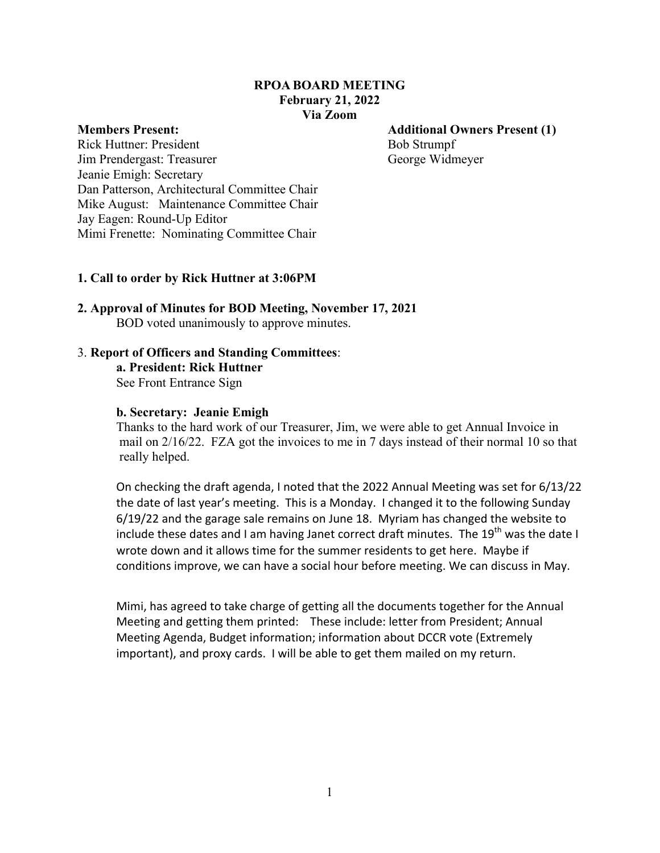## **RPOA BOARD MEETING February 21, 2022 Via Zoom**

**Members Present: Additional Owners Present (1)**

Rick Huttner: President Bob Strumpf Jim Prendergast: Treasurer George Widmeyer Jeanie Emigh: Secretary Dan Patterson, Architectural Committee Chair Mike August: Maintenance Committee Chair Jay Eagen: Round-Up Editor Mimi Frenette: Nominating Committee Chair

### **1. Call to order by Rick Huttner at 3:06PM**

# **2. Approval of Minutes for BOD Meeting, November 17, 2021** BOD voted unanimously to approve minutes.

### 3. **Report of Officers and Standing Committees**:

**a. President: Rick Huttner** See Front Entrance Sign

#### **b. Secretary: Jeanie Emigh**

Thanks to the hard work of our Treasurer, Jim, we were able to get Annual Invoice in mail on 2/16/22. FZA got the invoices to me in 7 days instead of their normal 10 so that really helped.

On checking the draft agenda, I noted that the 2022 Annual Meeting was set for 6/13/22 the date of last year's meeting. This is a Monday. I changed it to the following Sunday  $6/19/22$  and the garage sale remains on June 18. Myriam has changed the website to include these dates and I am having Janet correct draft minutes. The 19<sup>th</sup> was the date I wrote down and it allows time for the summer residents to get here. Maybe if conditions improve, we can have a social hour before meeting. We can discuss in May.

Mimi, has agreed to take charge of getting all the documents together for the Annual Meeting and getting them printed: These include: letter from President; Annual Meeting Agenda, Budget information; information about DCCR vote (Extremely important), and proxy cards. I will be able to get them mailed on my return.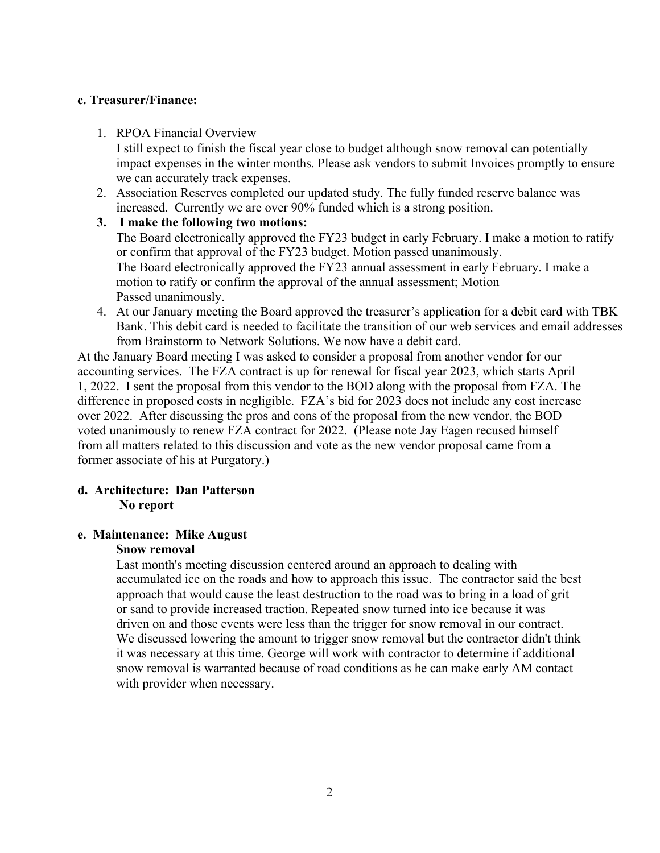## **c. Treasurer/Finance:**

1. RPOA Financial Overview

I still expect to finish the fiscal year close to budget although snow removal can potentially impact expenses in the winter months. Please ask vendors to submit Invoices promptly to ensure we can accurately track expenses.

2. Association Reserves completed our updated study. The fully funded reserve balance was increased. Currently we are over 90% funded which is a strong position.

### **3. I make the following two motions:**

The Board electronically approved the FY23 budget in early February. I make a motion to ratify or confirm that approval of the FY23 budget. Motion passed unanimously. The Board electronically approved the FY23 annual assessment in early February. I make a motion to ratify or confirm the approval of the annual assessment; Motion Passed unanimously.

4. At our January meeting the Board approved the treasurer's application for a debit card with TBK Bank. This debit card is needed to facilitate the transition of our web services and email addresses from Brainstorm to Network Solutions. We now have a debit card.

At the January Board meeting I was asked to consider a proposal from another vendor for our accounting services. The FZA contract is up for renewal for fiscal year 2023, which starts April 1, 2022. I sent the proposal from this vendor to the BOD along with the proposal from FZA. The difference in proposed costs in negligible. FZA's bid for 2023 does not include any cost increase over 2022. After discussing the pros and cons of the proposal from the new vendor, the BOD voted unanimously to renew FZA contract for 2022. (Please note Jay Eagen recused himself from all matters related to this discussion and vote as the new vendor proposal came from a former associate of his at Purgatory.)

## **d. Architecture: Dan Patterson No report**

## **e. Maintenance: Mike August**

## **Snow removal**

Last month's meeting discussion centered around an approach to dealing with accumulated ice on the roads and how to approach this issue. The contractor said the best approach that would cause the least destruction to the road was to bring in a load of grit or sand to provide increased traction. Repeated snow turned into ice because it was driven on and those events were less than the trigger for snow removal in our contract. We discussed lowering the amount to trigger snow removal but the contractor didn't think it was necessary at this time. George will work with contractor to determine if additional snow removal is warranted because of road conditions as he can make early AM contact with provider when necessary.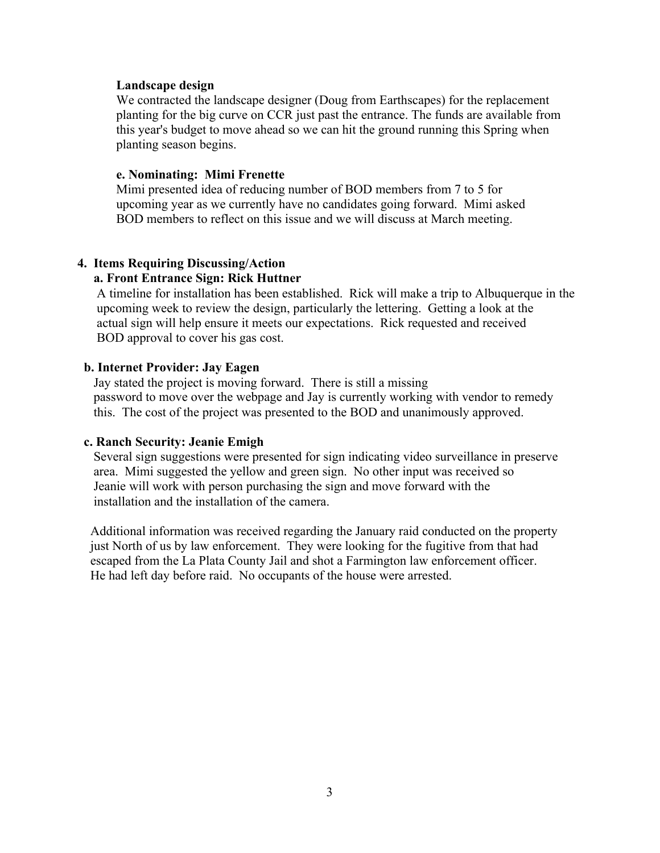#### **Landscape design**

We contracted the landscape designer (Doug from Earthscapes) for the replacement planting for the big curve on CCR just past the entrance. The funds are available from this year's budget to move ahead so we can hit the ground running this Spring when planting season begins.

#### **e. Nominating: Mimi Frenette**

Mimi presented idea of reducing number of BOD members from 7 to 5 for upcoming year as we currently have no candidates going forward. Mimi asked BOD members to reflect on this issue and we will discuss at March meeting.

# **4. Items Requiring Discussing/Action**

## **a. Front Entrance Sign: Rick Huttner**

 A timeline for installation has been established. Rick will make a trip to Albuquerque in the upcoming week to review the design, particularly the lettering. Getting a look at the actual sign will help ensure it meets our expectations. Rick requested and received BOD approval to cover his gas cost.

## **b. Internet Provider: Jay Eagen**

Jay stated the project is moving forward. There is still a missing password to move over the webpage and Jay is currently working with vendor to remedy this. The cost of the project was presented to the BOD and unanimously approved.

#### **c. Ranch Security: Jeanie Emigh**

 Several sign suggestions were presented for sign indicating video surveillance in preserve area. Mimi suggested the yellow and green sign. No other input was received so Jeanie will work with person purchasing the sign and move forward with the installation and the installation of the camera.

Additional information was received regarding the January raid conducted on the property just North of us by law enforcement. They were looking for the fugitive from that had escaped from the La Plata County Jail and shot a Farmington law enforcement officer. He had left day before raid. No occupants of the house were arrested.